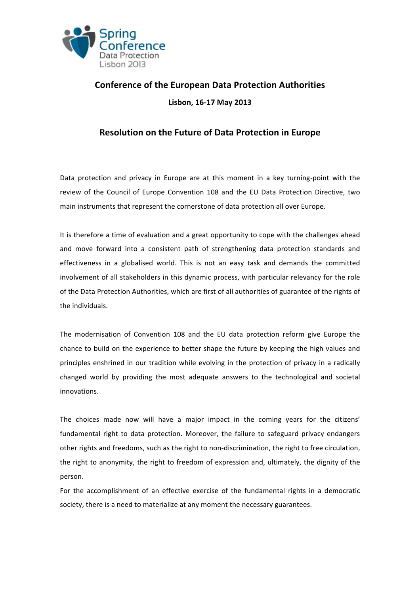

## **Conference of the European Data Protection Authorities Lisbon, 16-17 May 2013**

## **Resolution on the Future of Data Protection in Europe**

Data protection and privacy in Europe are at this moment in a key turning-point with the review of the Council of Europe Convention 108 and the EU Data Protection Directive, two main instruments that represent the cornerstone of data protection all over Europe.

It is therefore a time of evaluation and a great opportunity to cope with the challenges ahead and move forward into a consistent path of strengthening data protection standards and effectiveness in a globalised world. This is not an easy task and demands the committed involvement of all stakeholders in this dynamic process, with particular relevancy for the role of the Data Protection Authorities, which are first of all authorities of guarantee of the rights of the individuals.

The modernisation of Convention 108 and the EU data protection reform give Europe the chance to build on the experience to better shape the future by keeping the high values and principles enshrined in our tradition while evolving in the protection of privacy in a radically changed world by providing the most adequate answers to the technological and societal innovations. 

The choices made now will have a major impact in the coming years for the citizens' fundamental right to data protection. Moreover, the failure to safeguard privacy endangers other rights and freedoms, such as the right to non-discrimination, the right to free circulation, the right to anonymity, the right to freedom of expression and, ultimately, the dignity of the person.

For the accomplishment of an effective exercise of the fundamental rights in a democratic society, there is a need to materialize at any moment the necessary guarantees.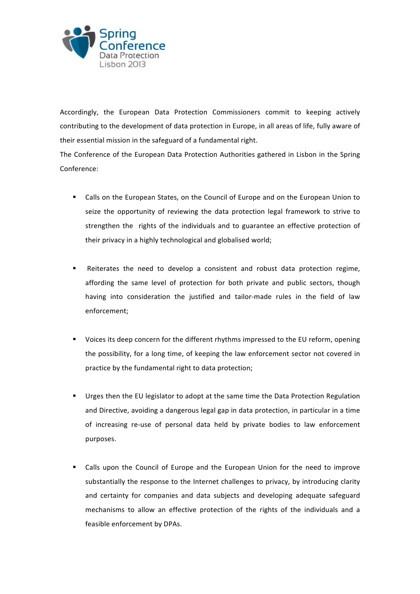

Accordingly, the European Data Protection Commissioners commit to keeping actively contributing to the development of data protection in Europe, in all areas of life, fully aware of their essential mission in the safeguard of a fundamental right.

The Conference of the European Data Protection Authorities gathered in Lisbon in the Spring Conference:

- Calls on the European States, on the Council of Europe and on the European Union to seize the opportunity of reviewing the data protection legal framework to strive to strengthen the rights of the individuals and to guarantee an effective protection of their privacy in a highly technological and globalised world;
- Reiterates the need to develop a consistent and robust data protection regime, affording the same level of protection for both private and public sectors, though having into consideration the justified and tailor-made rules in the field of law enforcement;
- Voices its deep concern for the different rhythms impressed to the EU reform, opening the possibility, for a long time, of keeping the law enforcement sector not covered in practice by the fundamental right to data protection;
- Urges then the EU legislator to adopt at the same time the Data Protection Regulation and Directive, avoiding a dangerous legal gap in data protection, in particular in a time of increasing re-use of personal data held by private bodies to law enforcement purposes.
- Calls upon the Council of Europe and the European Union for the need to improve substantially the response to the Internet challenges to privacy, by introducing clarity and certainty for companies and data subjects and developing adequate safeguard mechanisms to allow an effective protection of the rights of the individuals and a feasible enforcement by DPAs.